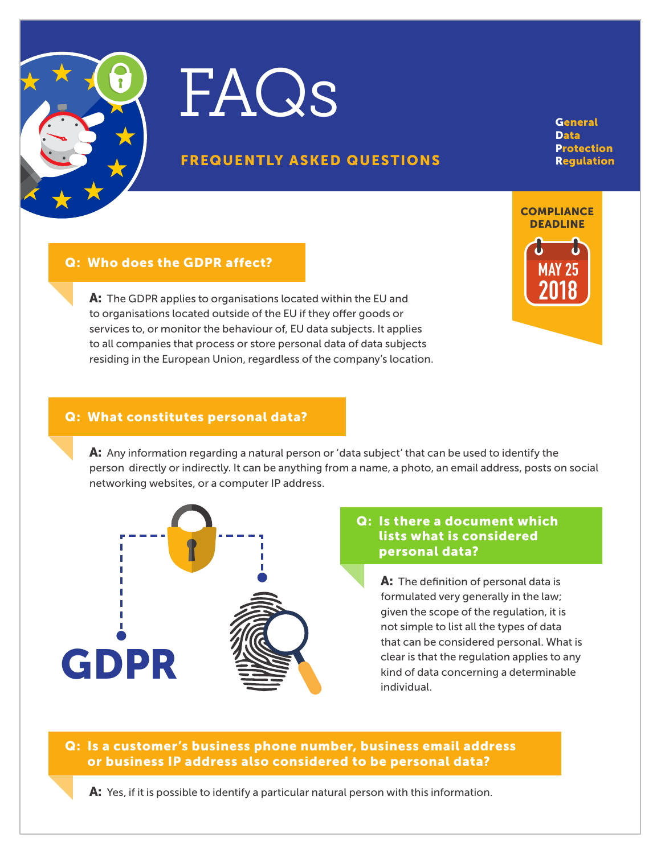



## FREQUENTLY ASKED QUESTIONS

**General** Data **Protection** Regulation

#### Q: Who does the GDPR affect?

A: The GDPR applies to organisations located within the EU and to organisations located outside of the EU if they offer goods or services to, or monitor the behaviour of, EU data subjects. It applies to all companies that process or store personal data of data subjects residing in the European Union, regardless of the company's location.



#### Q: What constitutes personal data?

A: Any information regarding a natural person or 'data subject' that can be used to identify the person directly or indirectly. It can be anything from a name, a photo, an email address, posts on social networking websites, or a computer IP address.



#### Q: Is there a document which lists what is considered personal data?

A: The definition of personal data is formulated very generally in the law; given the scope of the regulation, it is not simple to list all the types of data that can be considered personal. What is clear is that the regulation applies to any kind of data concerning a determinable individual.

Q: Is a customer's business phone number, business email address or business IP address also considered to be personal data?

A: Yes, if it is possible to identify a particular natural person with this information.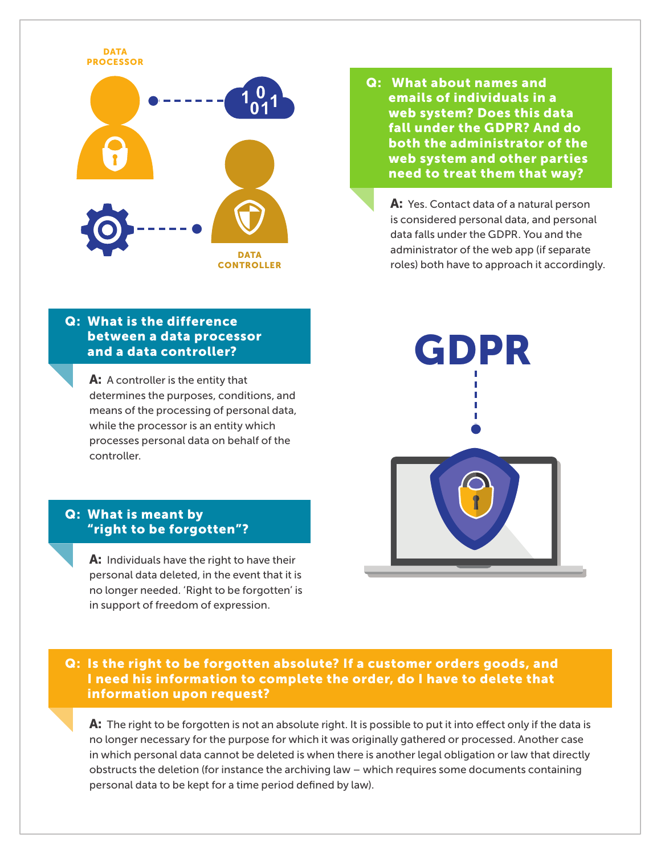

## Q: What is the difference between a data processor and a data controller?

A: A controller is the entity that determines the purposes, conditions, and means of the processing of personal data, while the processor is an entity which processes personal data on behalf of the controller.

#### Q: What is meant by "right to be forgotten"?

A: Individuals have the right to have their personal data deleted, in the event that it is no longer needed. 'Right to be forgotten' is in support of freedom of expression.

Q: What about names and emails of individuals in a web system? Does this data fall under the GDPR? And do both the administrator of the web system and other parties need to treat them that way?

A: Yes. Contact data of a natural person is considered personal data, and personal data falls under the GDPR. You and the administrator of the web app (if separate roles) both have to approach it accordingly.



Q: Is the right to be forgotten absolute? If a customer orders goods, and I need his information to complete the order, do I have to delete that information upon request?

A: The right to be forgotten is not an absolute right. It is possible to put it into effect only if the data is no longer necessary for the purpose for which it was originally gathered or processed. Another case in which personal data cannot be deleted is when there is another legal obligation or law that directly obstructs the deletion (for instance the archiving law – which requires some documents containing personal data to be kept for a time period defined by law).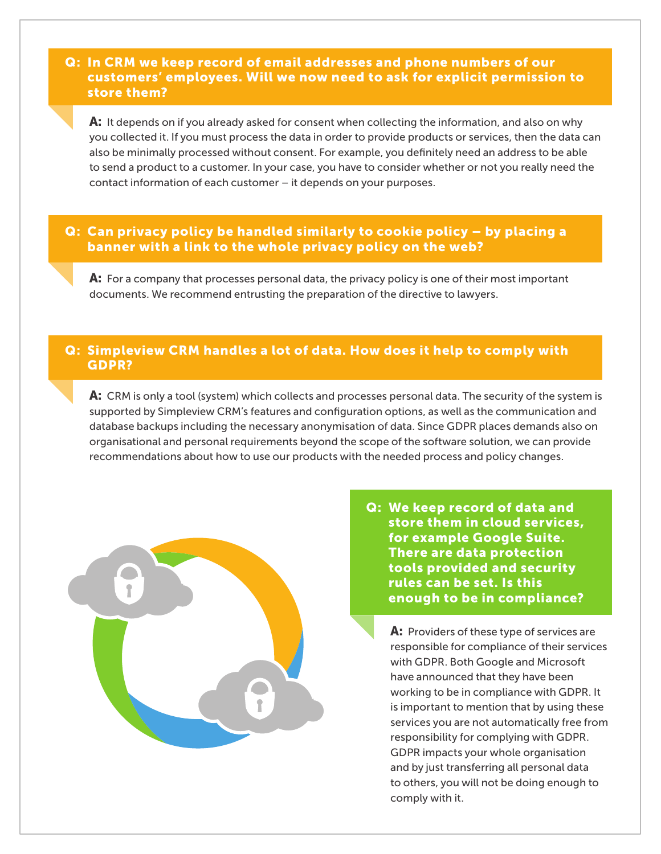#### Q: In CRM we keep record of email addresses and phone numbers of our customers' employees. Will we now need to ask for explicit permission to store them?

**A:** It depends on if you already asked for consent when collecting the information, and also on why you collected it. If you must process the data in order to provide products or services, then the data can also be minimally processed without consent. For example, you definitely need an address to be able to send a product to a customer. In your case, you have to consider whether or not you really need the contact information of each customer – it depends on your purposes.

## Q: Can privacy policy be handled similarly to cookie policy – by placing a banner with a link to the whole privacy policy on the web?

A: For a company that processes personal data, the privacy policy is one of their most important documents. We recommend entrusting the preparation of the directive to lawyers.

#### Q: Simpleview CRM handles a lot of data. How does it help to comply with GDPR?

A: CRM is only a tool (system) which collects and processes personal data. The security of the system is supported by Simpleview CRM's features and configuration options, as well as the communication and database backups including the necessary anonymisation of data. Since GDPR places demands also on organisational and personal requirements beyond the scope of the software solution, we can provide recommendations about how to use our products with the needed process and policy changes.



Q: We keep record of data and store them in cloud services, for example Google Suite. There are data protection tools provided and security rules can be set. Is this enough to be in compliance?

A: Providers of these type of services are responsible for compliance of their services with GDPR. Both Google and Microsoft have announced that they have been working to be in compliance with GDPR. It is important to mention that by using these services you are not automatically free from responsibility for complying with GDPR. GDPR impacts your whole organisation and by just transferring all personal data to others, you will not be doing enough to comply with it.